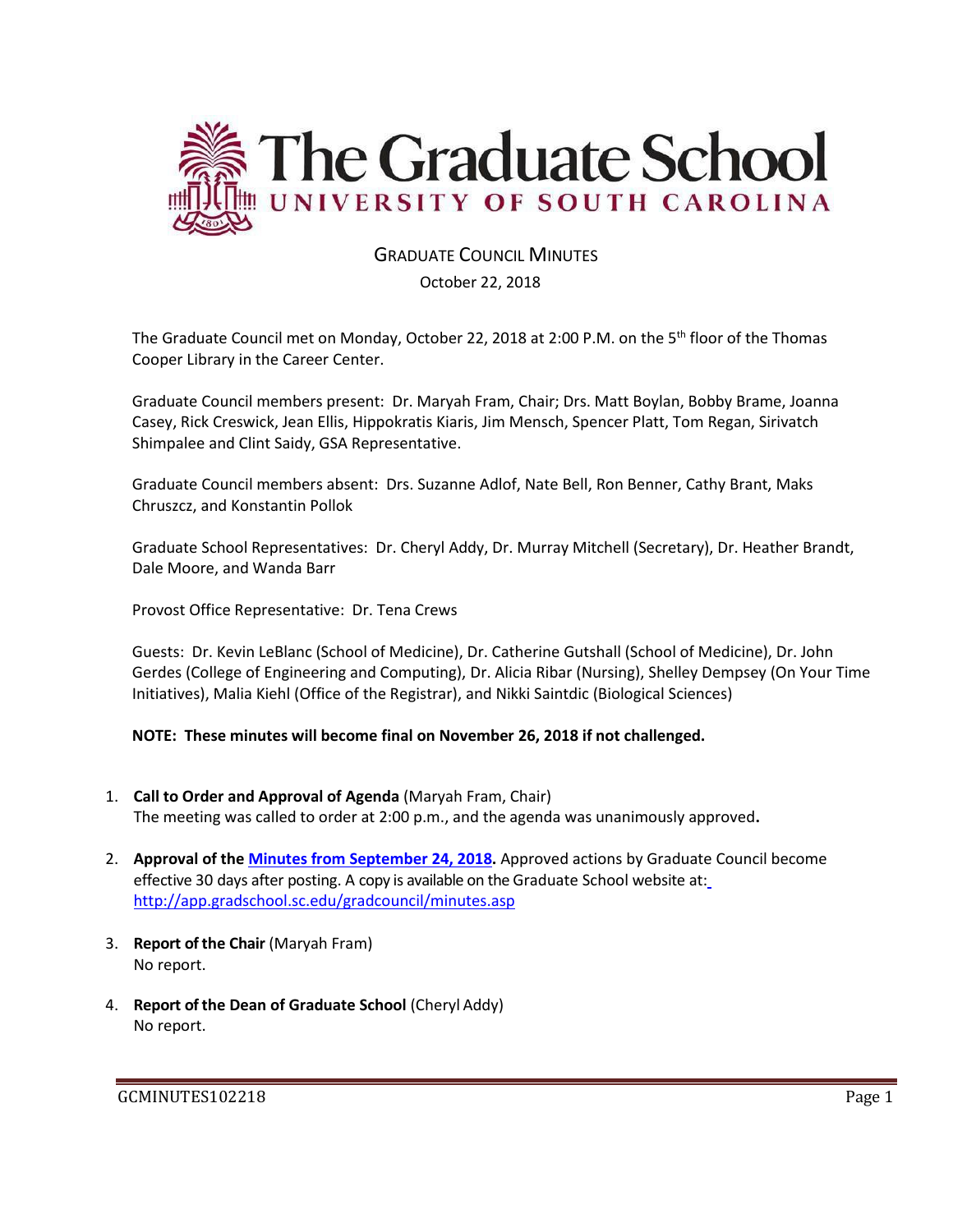

# GRADUATE COUNCIL MINUTES

October 22, 2018

The Graduate Council met on Monday, October 22, 2018 at 2:00 P.M. on the 5th floor of the Thomas Cooper Library in the Career Center.

Graduate Council members present: Dr. Maryah Fram, Chair; Drs. Matt Boylan, Bobby Brame, Joanna Casey, Rick Creswick, Jean Ellis, Hippokratis Kiaris, Jim Mensch, Spencer Platt, Tom Regan, Sirivatch Shimpalee and Clint Saidy, GSA Representative.

Graduate Council members absent: Drs. Suzanne Adlof, Nate Bell, Ron Benner, Cathy Brant, Maks Chruszcz, and Konstantin Pollok

Graduate School Representatives: Dr. Cheryl Addy, Dr. Murray Mitchell (Secretary), Dr. Heather Brandt, Dale Moore, and Wanda Barr

Provost Office Representative: Dr. Tena Crews

Guests: Dr. Kevin LeBlanc (School of Medicine), Dr. Catherine Gutshall (School of Medicine), Dr. John Gerdes (College of Engineering and Computing), Dr. Alicia Ribar (Nursing), Shelley Dempsey (On Your Time Initiatives), Malia Kiehl (Office of the Registrar), and Nikki Saintdic (Biological Sciences)

**NOTE: These minutes will become final on November 26, 2018 if not challenged.**

- 1. **Call to Order and Approval of Agenda** (Maryah Fram, Chair) The meeting was called to order at 2:00 p.m., and the agenda was unanimously approved**.**
- 2. **Approval of the [Minutes from September 24, 2018.](file:///C:/Users/wandab/Local%20Documents/Graduate%20Council/GCMINSSEP242018wAttachments.pdf)** Approved actions by Graduate Council become effective 30 days after posting. A copy is available on the Graduate School website at[:](http://app.gradschool.sc.edu/gradcouncil/minutes.asp) <http://app.gradschool.sc.edu/gradcouncil/minutes.asp>
- 3. **Report of the Chair** (Maryah Fram) No report.
- 4. **Report of the Dean of Graduate School** (Cheryl Addy) No report.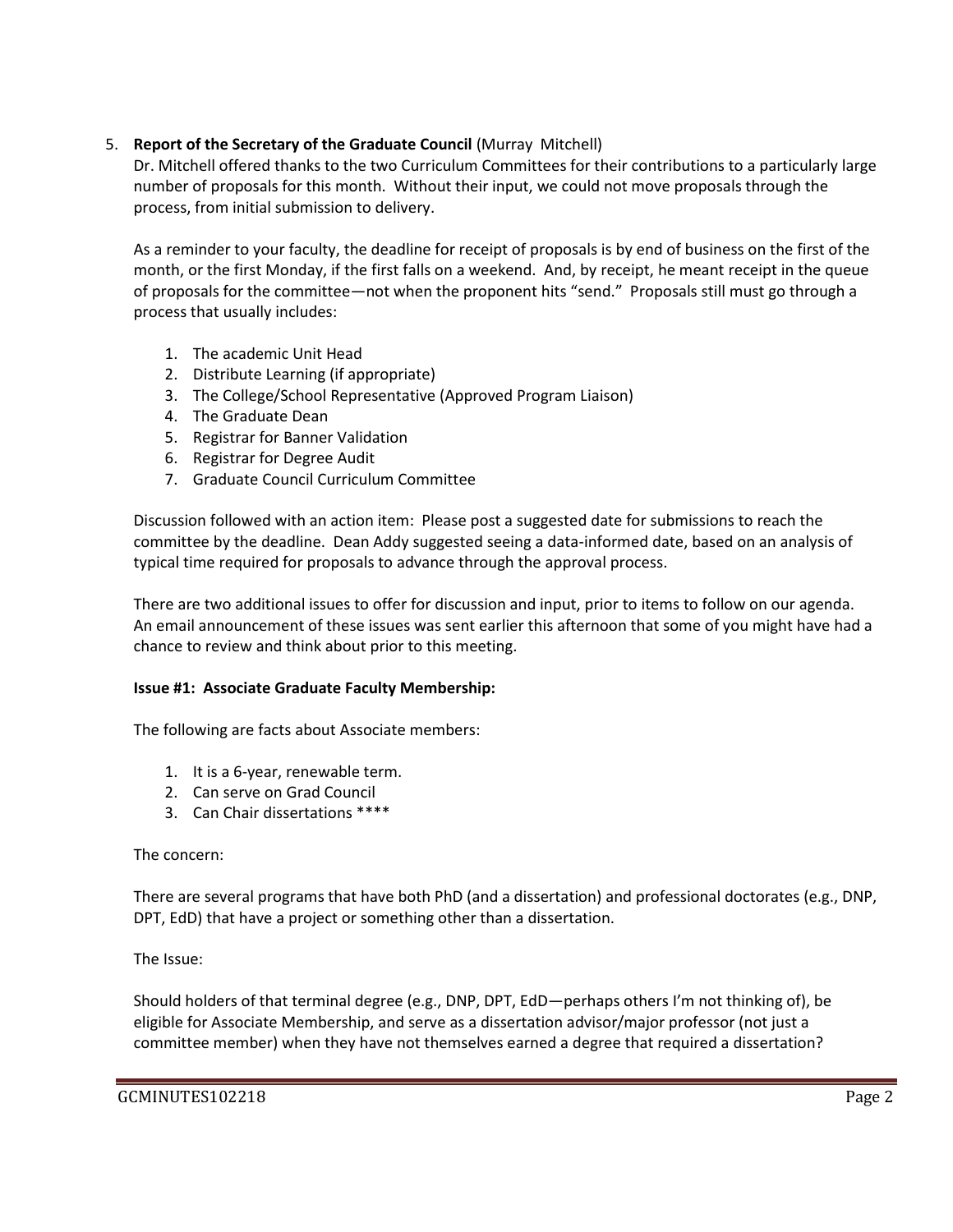## 5. **Report of the Secretary of the Graduate Council** (Murray Mitchell)

Dr. Mitchell offered thanks to the two Curriculum Committees for their contributions to a particularly large number of proposals for this month. Without their input, we could not move proposals through the process, from initial submission to delivery.

As a reminder to your faculty, the deadline for receipt of proposals is by end of business on the first of the month, or the first Monday, if the first falls on a weekend. And, by receipt, he meant receipt in the queue of proposals for the committee—not when the proponent hits "send." Proposals still must go through a process that usually includes:

- 1. The academic Unit Head
- 2. Distribute Learning (if appropriate)
- 3. The College/School Representative (Approved Program Liaison)
- 4. The Graduate Dean
- 5. Registrar for Banner Validation
- 6. Registrar for Degree Audit
- 7. Graduate Council Curriculum Committee

Discussion followed with an action item: Please post a suggested date for submissions to reach the committee by the deadline. Dean Addy suggested seeing a data-informed date, based on an analysis of typical time required for proposals to advance through the approval process.

There are two additional issues to offer for discussion and input, prior to items to follow on our agenda. An email announcement of these issues was sent earlier this afternoon that some of you might have had a chance to review and think about prior to this meeting.

## **Issue #1: Associate Graduate Faculty Membership:**

The following are facts about Associate members:

- 1. It is a 6-year, renewable term.
- 2. Can serve on Grad Council
- 3. Can Chair dissertations \*\*\*\*

## The concern:

There are several programs that have both PhD (and a dissertation) and professional doctorates (e.g., DNP, DPT, EdD) that have a project or something other than a dissertation.

## The Issue:

Should holders of that terminal degree (e.g., DNP, DPT, EdD—perhaps others I'm not thinking of), be eligible for Associate Membership, and serve as a dissertation advisor/major professor (not just a committee member) when they have not themselves earned a degree that required a dissertation?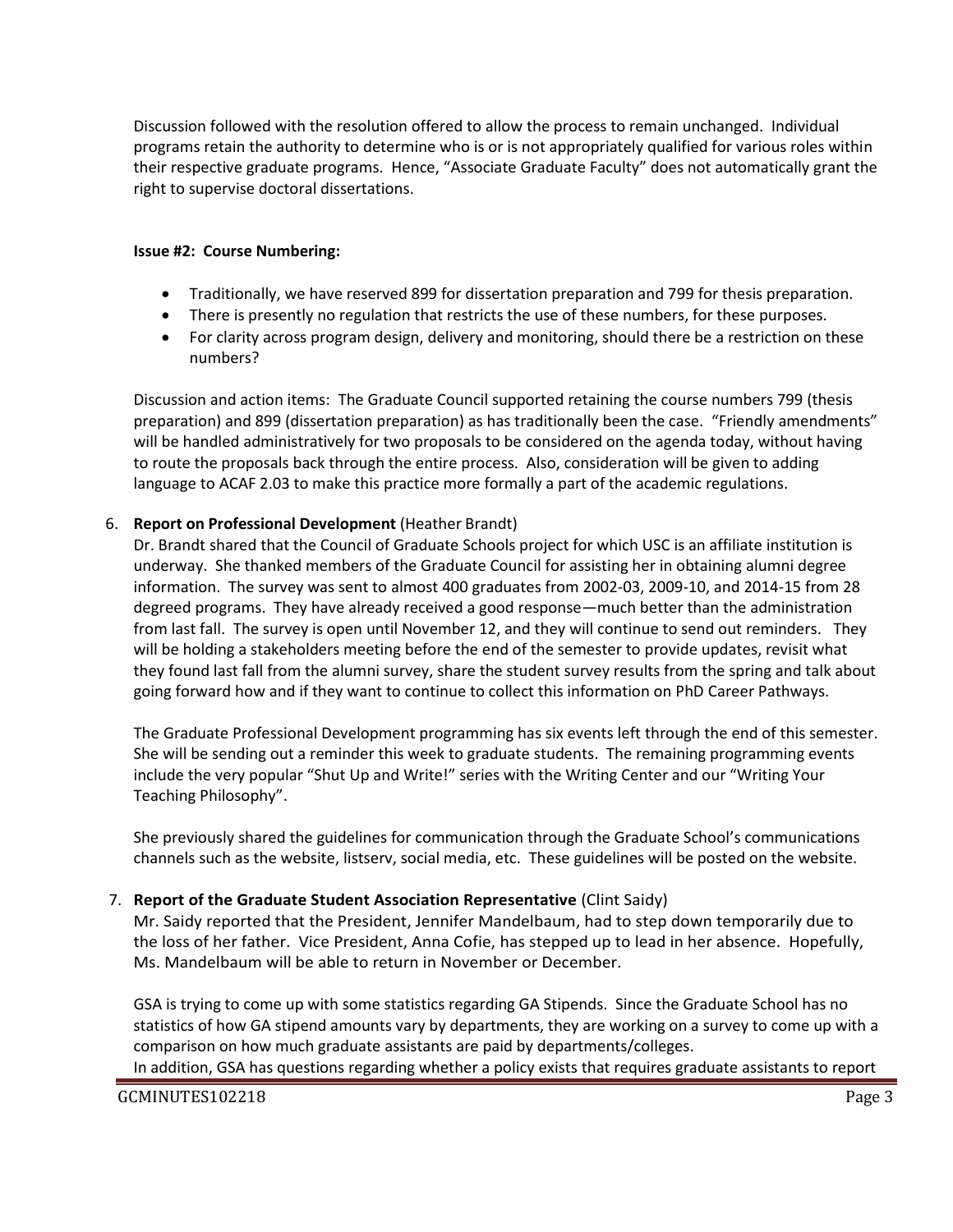Discussion followed with the resolution offered to allow the process to remain unchanged. Individual programs retain the authority to determine who is or is not appropriately qualified for various roles within their respective graduate programs. Hence, "Associate Graduate Faculty" does not automatically grant the right to supervise doctoral dissertations.

#### **Issue #2: Course Numbering:**

- Traditionally, we have reserved 899 for dissertation preparation and 799 for thesis preparation.
- There is presently no regulation that restricts the use of these numbers, for these purposes.
- For clarity across program design, delivery and monitoring, should there be a restriction on these numbers?

Discussion and action items: The Graduate Council supported retaining the course numbers 799 (thesis preparation) and 899 (dissertation preparation) as has traditionally been the case. "Friendly amendments" will be handled administratively for two proposals to be considered on the agenda today, without having to route the proposals back through the entire process. Also, consideration will be given to adding language to ACAF 2.03 to make this practice more formally a part of the academic regulations.

#### 6. **Report on Professional Development** (Heather Brandt)

Dr. Brandt shared that the Council of Graduate Schools project for which USC is an affiliate institution is underway. She thanked members of the Graduate Council for assisting her in obtaining alumni degree information. The survey was sent to almost 400 graduates from 2002-03, 2009-10, and 2014-15 from 28 degreed programs. They have already received a good response—much better than the administration from last fall. The survey is open until November 12, and they will continue to send out reminders. They will be holding a stakeholders meeting before the end of the semester to provide updates, revisit what they found last fall from the alumni survey, share the student survey results from the spring and talk about going forward how and if they want to continue to collect this information on PhD Career Pathways.

The Graduate Professional Development programming has six events left through the end of this semester. She will be sending out a reminder this week to graduate students. The remaining programming events include the very popular "Shut Up and Write!" series with the Writing Center and our "Writing Your Teaching Philosophy".

She previously shared the guidelines for communication through the Graduate School's communications channels such as the website, listserv, social media, etc. These guidelines will be posted on the website.

#### 7. **Report of the Graduate Student Association Representative** (Clint Saidy)

Mr. Saidy reported that the President, Jennifer Mandelbaum, had to step down temporarily due to the loss of her father. Vice President, Anna Cofie, has stepped up to lead in her absence. Hopefully, Ms. Mandelbaum will be able to return in November or December.

GSA is trying to come up with some statistics regarding GA Stipends. Since the Graduate School has no statistics of how GA stipend amounts vary by departments, they are working on a survey to come up with a comparison on how much graduate assistants are paid by departments/colleges.

In addition, GSA has questions regarding whether a policy exists that requires graduate assistants to report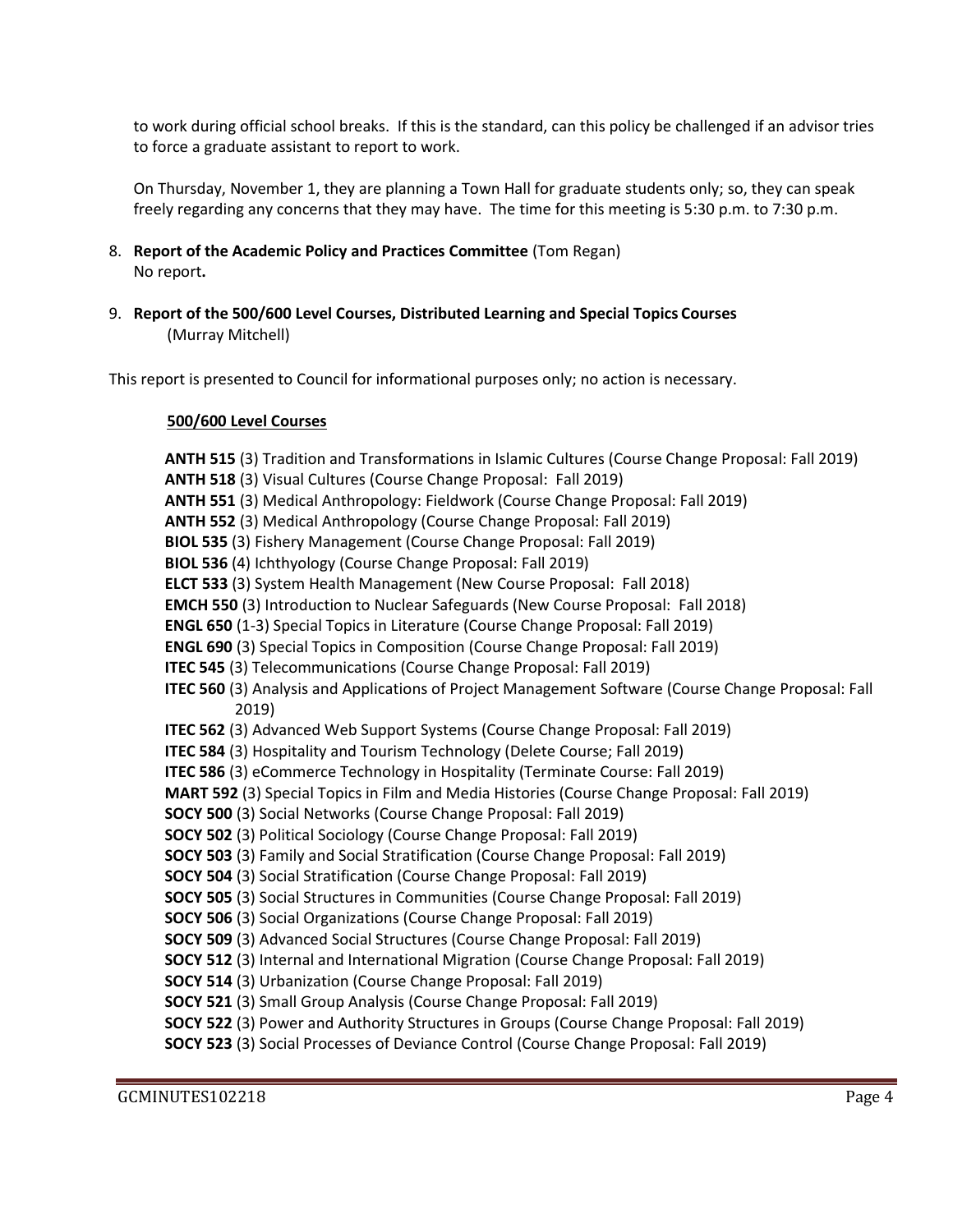to work during official school breaks. If this is the standard, can this policy be challenged if an advisor tries to force a graduate assistant to report to work.

On Thursday, November 1, they are planning a Town Hall for graduate students only; so, they can speak freely regarding any concerns that they may have. The time for this meeting is 5:30 p.m. to 7:30 p.m.

- 8. **Report of the Academic Policy and Practices Committee** (Tom Regan) No report**.**
- 9. **Report of the 500/600 Level Courses, Distributed Learning and Special Topics Courses** (Murray Mitchell)

This report is presented to Council for informational purposes only; no action is necessary.

#### **500/600 Level Courses**

**ANTH 515** (3) Tradition and Transformations in Islamic Cultures (Course Change Proposal: Fall 2019) **ANTH 518** (3) Visual Cultures (Course Change Proposal: Fall 2019) **ANTH 551** (3) Medical Anthropology: Fieldwork (Course Change Proposal: Fall 2019) **ANTH 552** (3) Medical Anthropology (Course Change Proposal: Fall 2019) **BIOL 535** (3) Fishery Management (Course Change Proposal: Fall 2019) **BIOL 536** (4) Ichthyology (Course Change Proposal: Fall 2019) **ELCT 533** (3) System Health Management (New Course Proposal: Fall 2018) **EMCH 550** (3) Introduction to Nuclear Safeguards (New Course Proposal: Fall 2018) **ENGL 650** (1-3) Special Topics in Literature (Course Change Proposal: Fall 2019) **ENGL 690** (3) Special Topics in Composition (Course Change Proposal: Fall 2019) **ITEC 545** (3) Telecommunications (Course Change Proposal: Fall 2019) **ITEC 560** (3) Analysis and Applications of Project Management Software (Course Change Proposal: Fall 2019) **ITEC 562** (3) Advanced Web Support Systems (Course Change Proposal: Fall 2019) **ITEC 584** (3) Hospitality and Tourism Technology (Delete Course; Fall 2019) **ITEC 586** (3) eCommerce Technology in Hospitality (Terminate Course: Fall 2019) **MART 592** (3) Special Topics in Film and Media Histories (Course Change Proposal: Fall 2019) **SOCY 500** (3) Social Networks (Course Change Proposal: Fall 2019) **SOCY 502** (3) Political Sociology (Course Change Proposal: Fall 2019) **SOCY 503** (3) Family and Social Stratification (Course Change Proposal: Fall 2019) **SOCY 504** (3) Social Stratification (Course Change Proposal: Fall 2019) **SOCY 505** (3) Social Structures in Communities (Course Change Proposal: Fall 2019) **SOCY 506** (3) Social Organizations (Course Change Proposal: Fall 2019) **SOCY 509** (3) Advanced Social Structures (Course Change Proposal: Fall 2019) **SOCY 512** (3) Internal and International Migration (Course Change Proposal: Fall 2019) **SOCY 514** (3) Urbanization (Course Change Proposal: Fall 2019) **SOCY 521** (3) Small Group Analysis (Course Change Proposal: Fall 2019) **SOCY 522** (3) Power and Authority Structures in Groups (Course Change Proposal: Fall 2019) **SOCY 523** (3) Social Processes of Deviance Control (Course Change Proposal: Fall 2019)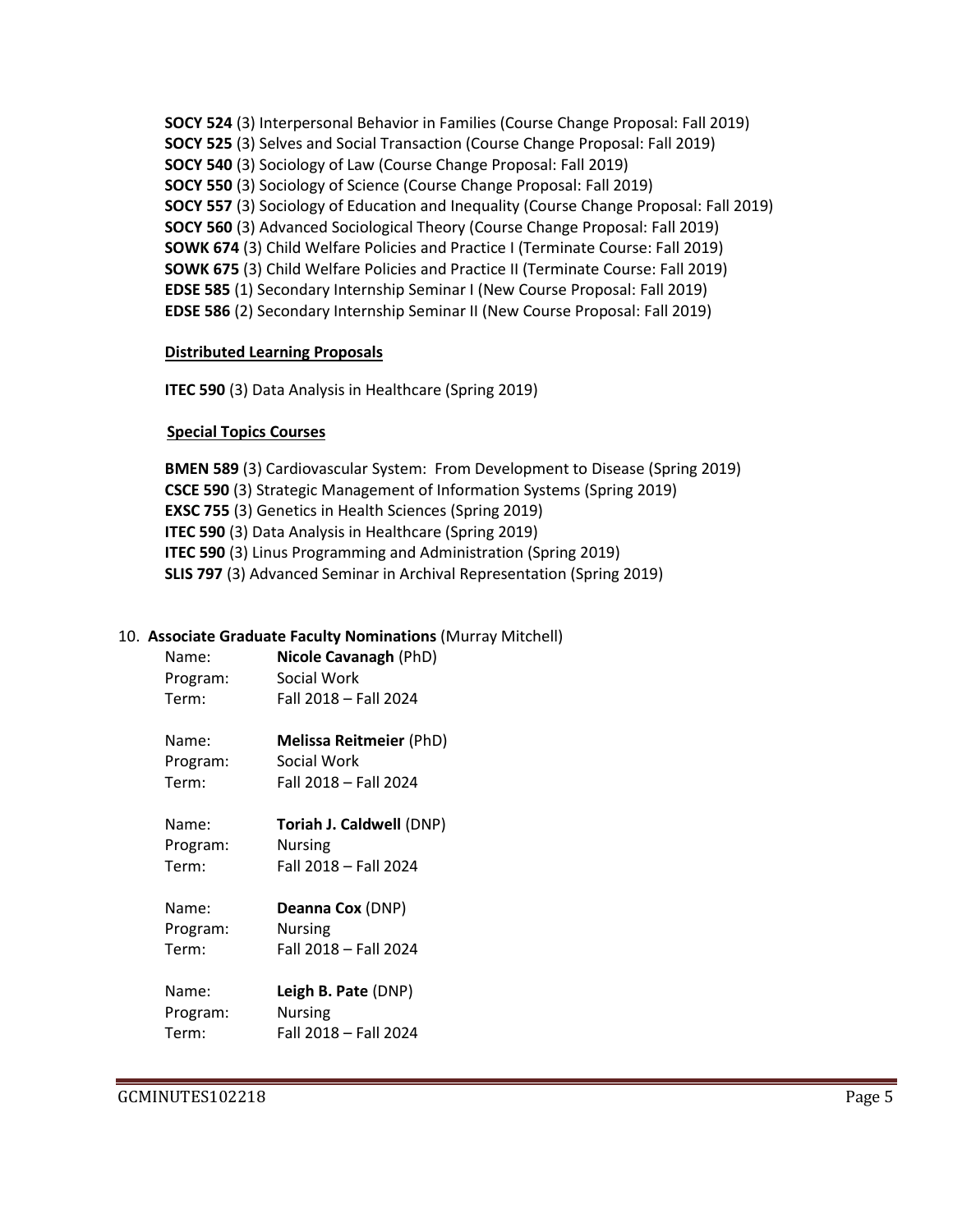**SOCY 524** (3) Interpersonal Behavior in Families (Course Change Proposal: Fall 2019) **SOCY 525** (3) Selves and Social Transaction (Course Change Proposal: Fall 2019) **SOCY 540** (3) Sociology of Law (Course Change Proposal: Fall 2019) **SOCY 550** (3) Sociology of Science (Course Change Proposal: Fall 2019) **SOCY 557** (3) Sociology of Education and Inequality (Course Change Proposal: Fall 2019) **SOCY 560** (3) Advanced Sociological Theory (Course Change Proposal: Fall 2019) **SOWK 674** (3) Child Welfare Policies and Practice I (Terminate Course: Fall 2019) **SOWK 675** (3) Child Welfare Policies and Practice II (Terminate Course: Fall 2019) **EDSE 585** (1) Secondary Internship Seminar I (New Course Proposal: Fall 2019) **EDSE 586** (2) Secondary Internship Seminar II (New Course Proposal: Fall 2019)

#### **Distributed Learning Proposals**

**ITEC 590** (3) Data Analysis in Healthcare (Spring 2019)

## **Special Topics Courses**

**BMEN 589** (3) Cardiovascular System: From Development to Disease (Spring 2019) **CSCE 590** (3) Strategic Management of Information Systems (Spring 2019) **EXSC 755** (3) Genetics in Health Sciences (Spring 2019) **ITEC 590** (3) Data Analysis in Healthcare (Spring 2019) **ITEC 590** (3) Linus Programming and Administration (Spring 2019) **SLIS 797** (3) Advanced Seminar in Archival Representation (Spring 2019)

## 10. **Associate Graduate Faculty Nominations** (Murray Mitchell)

| Name:    | Nicole Cavanagh (PhD) |
|----------|-----------------------|
| Program: | Social Work           |
| Term:    | Fall 2018 - Fall 2024 |
|          |                       |

| Name:    | <b>Melissa Reitmeier (PhD)</b> |
|----------|--------------------------------|
| Program: | Social Work                    |
| Term:    | Fall 2018 - Fall 2024          |

Name: **Toriah J. Caldwell** (DNP) Program: Nursing

Term: Fall 2018 – Fall 2024

| Deanna Cox (DNP)      |
|-----------------------|
| <b>Nursing</b>        |
| Fall 2018 - Fall 2024 |
|                       |

| Name:    | Leigh B. Pate (DNP)   |
|----------|-----------------------|
| Program: | <b>Nursing</b>        |
| Term:    | Fall 2018 - Fall 2024 |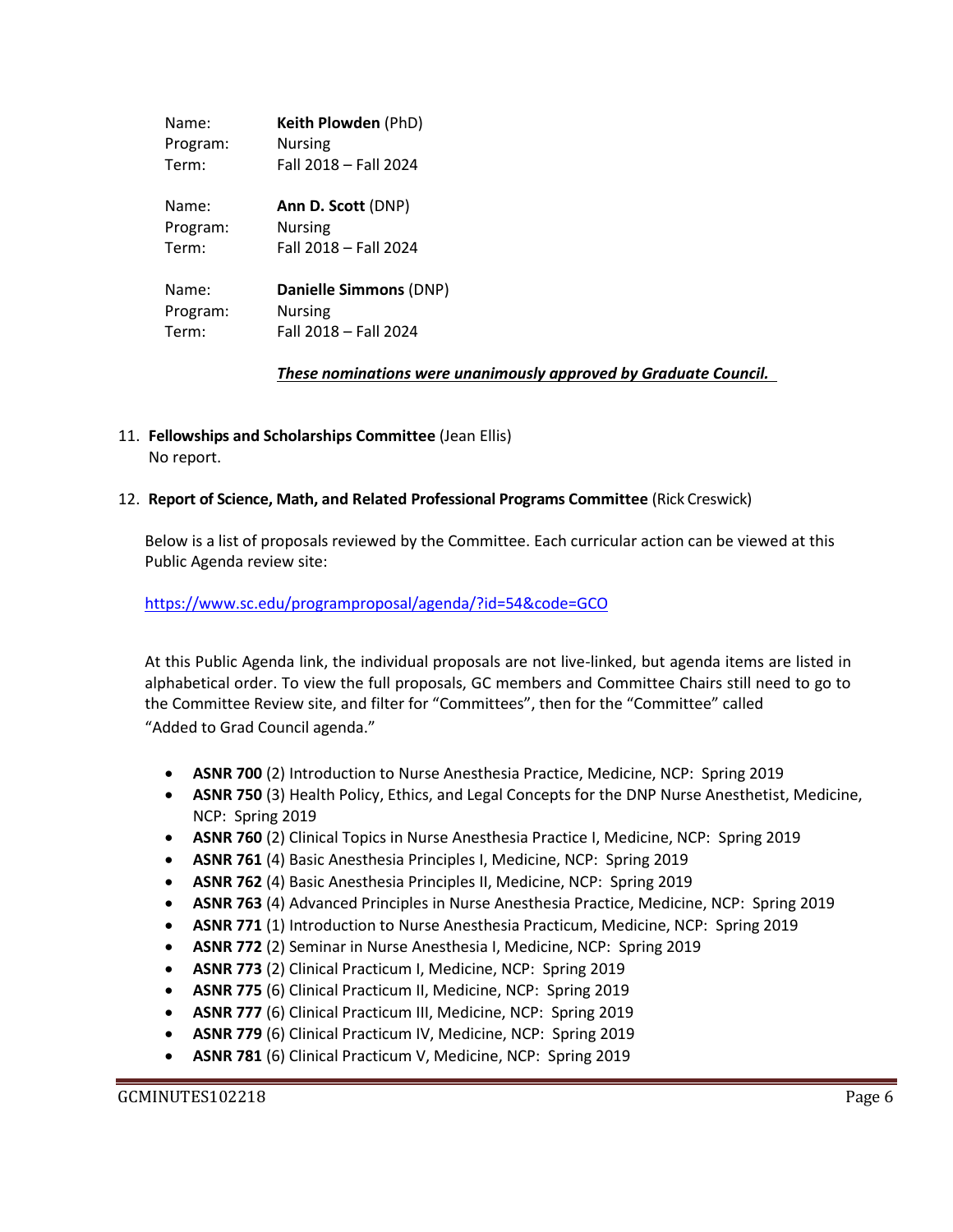| Name:    | Keith Plowden (PhD)    |
|----------|------------------------|
| Program: | <b>Nursing</b>         |
| Term:    | Fall 2018 - Fall 2024  |
| Name:    | Ann D. Scott (DNP)     |
| Program: | Nursing                |
| Term:    | Fall 2018 - Fall 2024  |
| Name:    | Danielle Simmons (DNP) |
| Program: | <b>Nursing</b>         |
| Term:    | Fall 2018 - Fall 2024  |

*These nominations were unanimously approved by Graduate Council.* 

11. **Fellowships and Scholarships Committee** (Jean Ellis) No report.

## 12. **Report of Science, Math, and Related Professional Programs Committee** (Rick Creswick)

Below is a list of proposals reviewed by the Committee. Each curricular action can be viewed at this Public Agenda review site:

<https://www.sc.edu/programproposal/agenda/?id=54&code=GCO>

At this Public Agenda link, the individual proposals are not live-linked, but agenda items are listed in alphabetical order. To view the full proposals, GC members and Committee Chairs still need to go to the Committee Review site, and filter for "Committees", then for the "Committee" called "Added to Grad Council agenda."

- **ASNR 700** (2) Introduction to Nurse Anesthesia Practice, Medicine, NCP: Spring 2019
- **ASNR 750** (3) Health Policy, Ethics, and Legal Concepts for the DNP Nurse Anesthetist, Medicine, NCP: Spring 2019
- **ASNR 760** (2) Clinical Topics in Nurse Anesthesia Practice I, Medicine, NCP: Spring 2019
- **ASNR 761** (4) Basic Anesthesia Principles I, Medicine, NCP: Spring 2019
- **ASNR 762** (4) Basic Anesthesia Principles II, Medicine, NCP: Spring 2019
- **ASNR 763** (4) Advanced Principles in Nurse Anesthesia Practice, Medicine, NCP: Spring 2019
- **ASNR 771** (1) Introduction to Nurse Anesthesia Practicum, Medicine, NCP: Spring 2019
- **ASNR 772** (2) Seminar in Nurse Anesthesia I, Medicine, NCP: Spring 2019
- **ASNR 773** (2) Clinical Practicum I, Medicine, NCP: Spring 2019
- **ASNR 775** (6) Clinical Practicum II, Medicine, NCP: Spring 2019
- **ASNR 777** (6) Clinical Practicum III, Medicine, NCP: Spring 2019
- **ASNR 779** (6) Clinical Practicum IV, Medicine, NCP: Spring 2019
- **ASNR 781** (6) Clinical Practicum V, Medicine, NCP: Spring 2019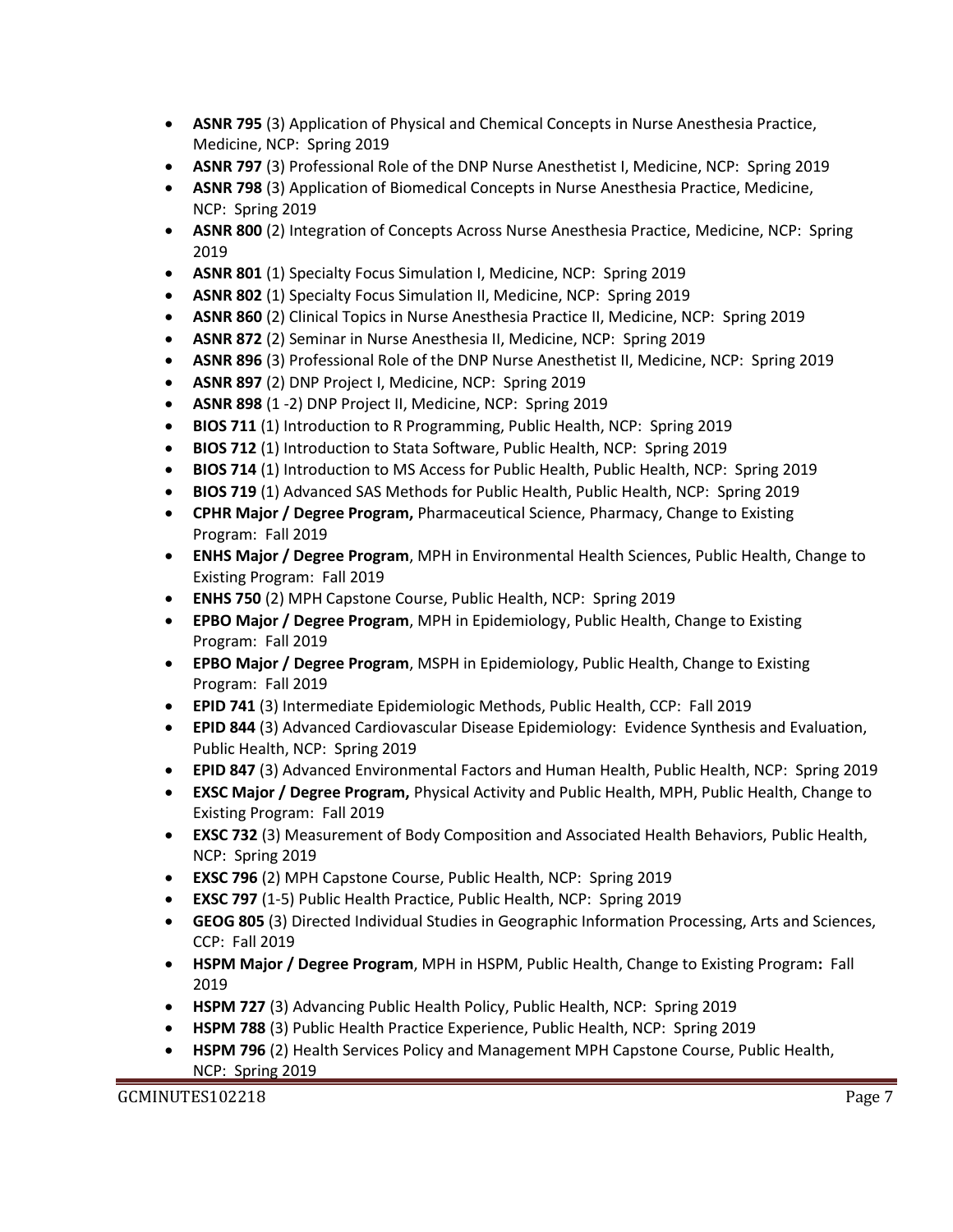- **ASNR 795** (3) Application of Physical and Chemical Concepts in Nurse Anesthesia Practice, Medicine, NCP: Spring 2019
- **ASNR 797** (3) Professional Role of the DNP Nurse Anesthetist I, Medicine, NCP: Spring 2019
- **ASNR 798** (3) Application of Biomedical Concepts in Nurse Anesthesia Practice, Medicine, NCP: Spring 2019
- **ASNR 800** (2) Integration of Concepts Across Nurse Anesthesia Practice, Medicine, NCP: Spring 2019
- **ASNR 801** (1) Specialty Focus Simulation I, Medicine, NCP: Spring 2019
- **ASNR 802** (1) Specialty Focus Simulation II, Medicine, NCP: Spring 2019
- **ASNR 860** (2) Clinical Topics in Nurse Anesthesia Practice II, Medicine, NCP: Spring 2019
- **ASNR 872** (2) Seminar in Nurse Anesthesia II, Medicine, NCP: Spring 2019
- **ASNR 896** (3) Professional Role of the DNP Nurse Anesthetist II, Medicine, NCP: Spring 2019
- **ASNR 897** (2) DNP Project I, Medicine, NCP: Spring 2019
- **ASNR 898** (1 -2) DNP Project II, Medicine, NCP: Spring 2019
- **BIOS 711** (1) Introduction to R Programming, Public Health, NCP: Spring 2019
- **BIOS 712** (1) Introduction to Stata Software, Public Health, NCP: Spring 2019
- **BIOS 714** (1) Introduction to MS Access for Public Health, Public Health, NCP: Spring 2019
- **BIOS 719** (1) Advanced SAS Methods for Public Health, Public Health, NCP: Spring 2019
- **CPHR Major / Degree Program,** Pharmaceutical Science, Pharmacy, Change to Existing Program: Fall 2019
- **ENHS Major / Degree Program**, MPH in Environmental Health Sciences, Public Health, Change to Existing Program: Fall 2019
- **ENHS 750** (2) MPH Capstone Course, Public Health, NCP: Spring 2019
- **EPBO Major / Degree Program**, MPH in Epidemiology, Public Health, Change to Existing Program: Fall 2019
- **EPBO Major / Degree Program**, MSPH in Epidemiology, Public Health, Change to Existing Program: Fall 2019
- **EPID 741** (3) Intermediate Epidemiologic Methods, Public Health, CCP: Fall 2019
- **EPID 844** (3) Advanced Cardiovascular Disease Epidemiology: Evidence Synthesis and Evaluation, Public Health, NCP: Spring 2019
- **EPID 847** (3) Advanced Environmental Factors and Human Health, Public Health, NCP: Spring 2019
- **EXSC Major / Degree Program,** Physical Activity and Public Health, MPH, Public Health, Change to Existing Program: Fall 2019
- **EXSC 732** (3) Measurement of Body Composition and Associated Health Behaviors, Public Health, NCP: Spring 2019
- **EXSC 796** (2) MPH Capstone Course, Public Health, NCP: Spring 2019
- **EXSC 797** (1-5) Public Health Practice, Public Health, NCP: Spring 2019
- **GEOG 805** (3) Directed Individual Studies in Geographic Information Processing, Arts and Sciences, CCP: Fall 2019
- **HSPM Major / Degree Program**, MPH in HSPM, Public Health, Change to Existing Program**:** Fall 2019
- **HSPM 727** (3) Advancing Public Health Policy, Public Health, NCP: Spring 2019
- **HSPM 788** (3) Public Health Practice Experience, Public Health, NCP: Spring 2019
- **HSPM 796** (2) Health Services Policy and Management MPH Capstone Course, Public Health, NCP: Spring 2019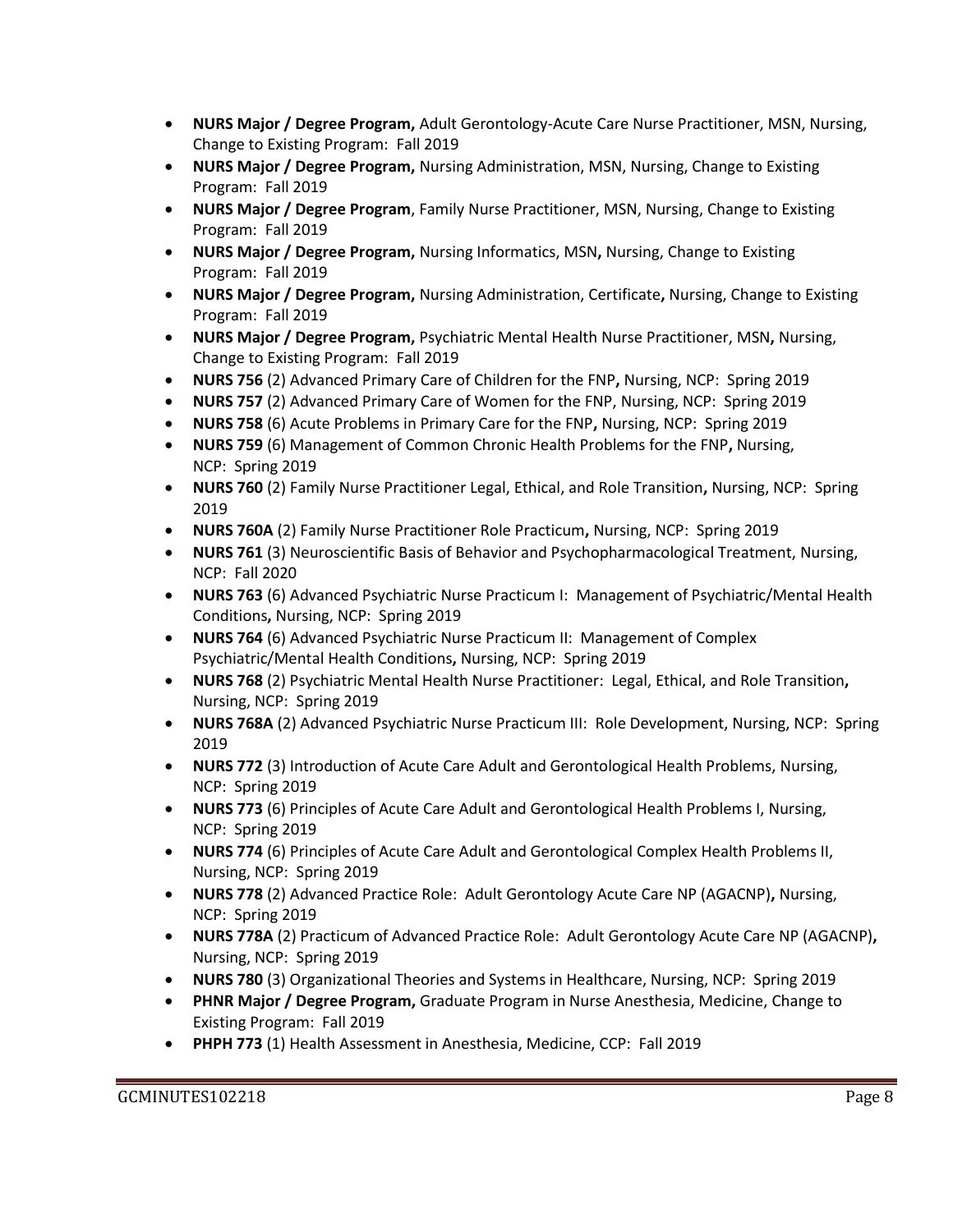- **NURS Major / Degree Program,** Adult Gerontology-Acute Care Nurse Practitioner, MSN, Nursing, Change to Existing Program: Fall 2019
- **NURS Major / Degree Program,** Nursing Administration, MSN, Nursing, Change to Existing Program: Fall 2019
- **NURS Major / Degree Program**, Family Nurse Practitioner, MSN, Nursing, Change to Existing Program: Fall 2019
- **NURS Major / Degree Program,** Nursing Informatics, MSN**,** Nursing, Change to Existing Program: Fall 2019
- **NURS Major / Degree Program,** Nursing Administration, Certificate**,** Nursing, Change to Existing Program: Fall 2019
- **NURS Major / Degree Program,** Psychiatric Mental Health Nurse Practitioner, MSN**,** Nursing, Change to Existing Program: Fall 2019
- **NURS 756** (2) Advanced Primary Care of Children for the FNP**,** Nursing, NCP: Spring 2019
- **NURS 757** (2) Advanced Primary Care of Women for the FNP, Nursing, NCP: Spring 2019
- **NURS 758** (6) Acute Problems in Primary Care for the FNP**,** Nursing, NCP: Spring 2019
- **NURS 759** (6) Management of Common Chronic Health Problems for the FNP**,** Nursing, NCP: Spring 2019
- **NURS 760** (2) Family Nurse Practitioner Legal, Ethical, and Role Transition**,** Nursing, NCP: Spring 2019
- **NURS 760A** (2) Family Nurse Practitioner Role Practicum**,** Nursing, NCP: Spring 2019
- **NURS 761** (3) Neuroscientific Basis of Behavior and Psychopharmacological Treatment, Nursing, NCP: Fall 2020
- **NURS 763** (6) Advanced Psychiatric Nurse Practicum I: Management of Psychiatric/Mental Health Conditions**,** Nursing, NCP: Spring 2019
- **NURS 764** (6) Advanced Psychiatric Nurse Practicum II: Management of Complex Psychiatric/Mental Health Conditions**,** Nursing, NCP: Spring 2019
- **NURS 768** (2) Psychiatric Mental Health Nurse Practitioner: Legal, Ethical, and Role Transition**,**  Nursing, NCP: Spring 2019
- **NURS 768A** (2) Advanced Psychiatric Nurse Practicum III: Role Development, Nursing, NCP: Spring 2019
- **NURS 772** (3) Introduction of Acute Care Adult and Gerontological Health Problems, Nursing, NCP: Spring 2019
- **NURS 773** (6) Principles of Acute Care Adult and Gerontological Health Problems I, Nursing, NCP: Spring 2019
- **NURS 774** (6) Principles of Acute Care Adult and Gerontological Complex Health Problems II, Nursing, NCP: Spring 2019
- **NURS 778** (2) Advanced Practice Role: Adult Gerontology Acute Care NP (AGACNP)**,** Nursing, NCP: Spring 2019
- **NURS 778A** (2) Practicum of Advanced Practice Role: Adult Gerontology Acute Care NP (AGACNP)**,**  Nursing, NCP: Spring 2019
- **NURS 780** (3) Organizational Theories and Systems in Healthcare, Nursing, NCP: Spring 2019
- **PHNR Major / Degree Program,** Graduate Program in Nurse Anesthesia, Medicine, Change to Existing Program: Fall 2019
- **PHPH 773** (1) Health Assessment in Anesthesia, Medicine, CCP: Fall 2019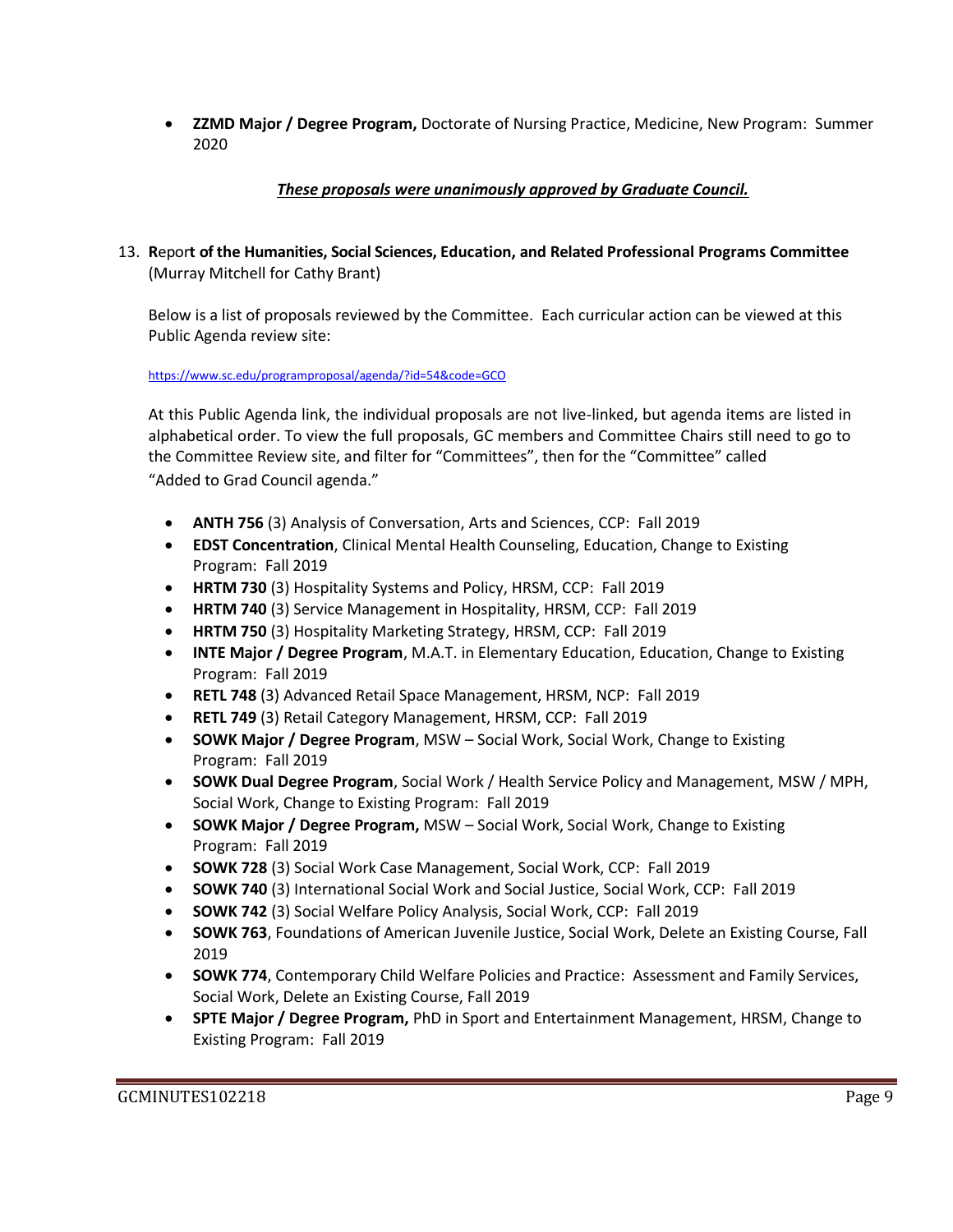• **ZZMD Major / Degree Program,** Doctorate of Nursing Practice, Medicine, New Program: Summer 2020

# *These proposals were unanimously approved by Graduate Council.*

13. **R**epor**t of the Humanities, Social Sciences, Education, and Related Professional Programs Committee**  (Murray Mitchell for Cathy Brant)

Below is a list of proposals reviewed by the Committee. Each curricular action can be viewed at this Public Agenda review site:

<https://www.sc.edu/programproposal/agenda/?id=54&code=GCO>

At this Public Agenda link, the individual proposals are not live-linked, but agenda items are listed in alphabetical order. To view the full proposals, GC members and Committee Chairs still need to go to the Committee Review site, and filter for "Committees", then for the "Committee" called "Added to Grad Council agenda."

- **ANTH 756** (3) Analysis of Conversation, Arts and Sciences, CCP: Fall 2019
- **EDST Concentration**, Clinical Mental Health Counseling, Education, Change to Existing Program: Fall 2019
- **HRTM 730** (3) Hospitality Systems and Policy, HRSM, CCP: Fall 2019
- **HRTM 740** (3) Service Management in Hospitality, HRSM, CCP: Fall 2019
- **HRTM 750** (3) Hospitality Marketing Strategy, HRSM, CCP: Fall 2019
- **INTE Major / Degree Program**, M.A.T. in Elementary Education, Education, Change to Existing Program: Fall 2019
- **RETL 748** (3) Advanced Retail Space Management, HRSM, NCP: Fall 2019
- **RETL 749** (3) Retail Category Management, HRSM, CCP: Fall 2019
- **SOWK Major / Degree Program**, MSW Social Work, Social Work, Change to Existing Program: Fall 2019
- **SOWK Dual Degree Program**, Social Work / Health Service Policy and Management, MSW / MPH, Social Work, Change to Existing Program: Fall 2019
- **SOWK Major / Degree Program,** MSW Social Work, Social Work, Change to Existing Program: Fall 2019
- **SOWK 728** (3) Social Work Case Management, Social Work, CCP: Fall 2019
- **SOWK 740** (3) International Social Work and Social Justice, Social Work, CCP: Fall 2019
- **SOWK 742** (3) Social Welfare Policy Analysis, Social Work, CCP: Fall 2019
- **SOWK 763**, Foundations of American Juvenile Justice, Social Work, Delete an Existing Course, Fall 2019
- **SOWK 774**, Contemporary Child Welfare Policies and Practice: Assessment and Family Services, Social Work, Delete an Existing Course, Fall 2019
- **SPTE Major / Degree Program,** PhD in Sport and Entertainment Management, HRSM, Change to Existing Program: Fall 2019